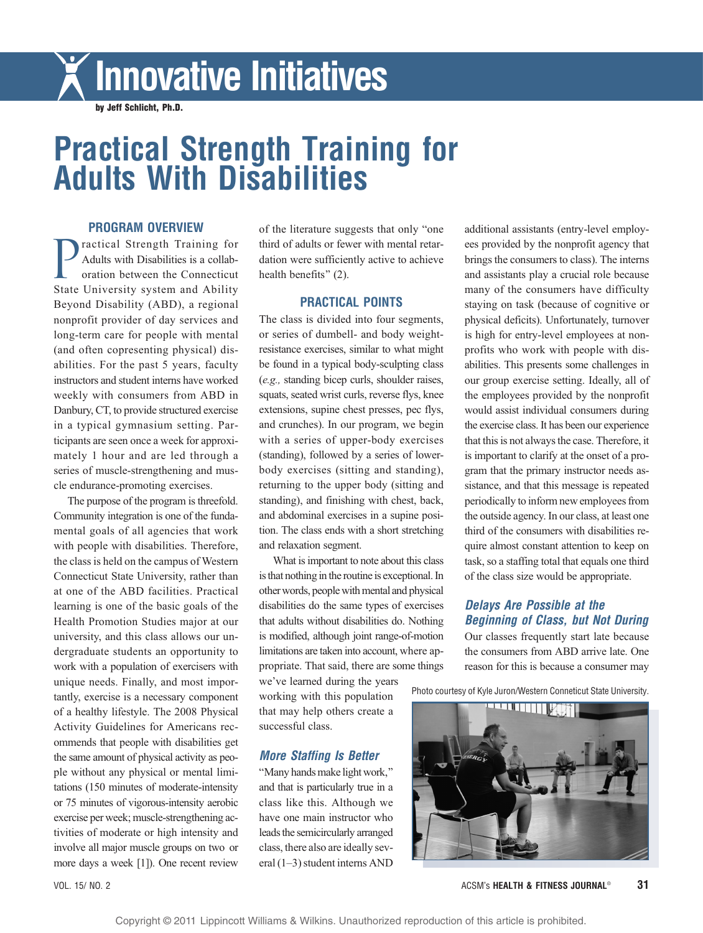# Innovative Initiatives

by Jeff Schlicht, Ph.D.

## Practical Strength Training for Adults With Disabilities

#### PROGRAM OVERVIEW

*P*ractical Strength Training for Adults with Disabilities is a collaboration between the Connecticut State University system and Ability Beyond Disability (ABD), a regional nonprofit provider of day services and long-term care for people with mental (and often copresenting physical) disabilities. For the past 5 years, faculty instructors and student interns have worked weekly with consumers from ABD in Danbury, CT, to provide structured exercise in a typical gymnasium setting. Participants are seen once a week for approximately 1 hour and are led through a series of muscle-strengthening and muscle endurance-promoting exercises.

The purpose of the program is threefold. Community integration is one of the fundamental goals of all agencies that work with people with disabilities. Therefore, the class is held on the campus of Western Connecticut State University, rather than at one of the ABD facilities. Practical learning is one of the basic goals of the Health Promotion Studies major at our university, and this class allows our undergraduate students an opportunity to work with a population of exercisers with unique needs. Finally, and most importantly, exercise is a necessary component of a healthy lifestyle. The 2008 Physical Activity Guidelines for Americans recommends that people with disabilities get the same amount of physical activity as people without any physical or mental limitations (150 minutes of moderate-intensity or 75 minutes of vigorous-intensity aerobic exercise per week; muscle-strengthening activities of moderate or high intensity and involve all major muscle groups on two or more days a week [1]). One recent review

of the literature suggests that only "one" third of adults or fewer with mental retardation were sufficiently active to achieve health benefits" (2).

#### PRACTICAL POINTS

The class is divided into four segments, or series of dumbell- and body weightresistance exercises, similar to what might be found in a typical body-sculpting class (e.g., standing bicep curls, shoulder raises, squats, seated wrist curls, reverse flys, knee extensions, supine chest presses, pec flys, and crunches). In our program, we begin with a series of upper-body exercises (standing), followed by a series of lowerbody exercises (sitting and standing), returning to the upper body (sitting and standing), and finishing with chest, back, and abdominal exercises in a supine position. The class ends with a short stretching and relaxation segment.

What is important to note about this class is that nothing in the routine is exceptional. In other words, people with mental and physical disabilities do the same types of exercises that adults without disabilities do. Nothing is modified, although joint range-of-motion limitations are taken into account, where appropriate. That said, there are some things

we've learned during the years working with this population that may help others create a successful class.

#### More Staffing Is Better

"Many hands make light work," and that is particularly true in a class like this. Although we have one main instructor who leads the semicircularly arranged class, there also are ideally several  $(1-3)$  student interns AND

additional assistants (entry-level employees provided by the nonprofit agency that brings the consumers to class). The interns and assistants play a crucial role because many of the consumers have difficulty staying on task (because of cognitive or physical deficits). Unfortunately, turnover is high for entry-level employees at nonprofits who work with people with disabilities. This presents some challenges in our group exercise setting. Ideally, all of the employees provided by the nonprofit would assist individual consumers during the exercise class. It has been our experience that this is not always the case. Therefore, it is important to clarify at the onset of a program that the primary instructor needs assistance, and that this message is repeated periodically to inform new employees from the outside agency. In our class, at least one third of the consumers with disabilities require almost constant attention to keep on task, so a staffing total that equals one third of the class size would be appropriate.

#### Delays Are Possible at the Beginning of Class, but Not During

Our classes frequently start late because the consumers from ABD arrive late. One reason for this is because a consumer may

Photo courtesy of Kyle Juron/Western Conneticut State University.



VOL. 15/ NO. 2 **ACSM's HEALTH & FITNESS JOURNAL<sup>®</sup> 31**